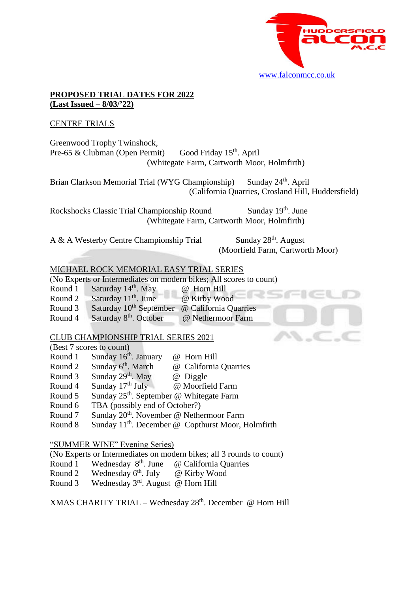

#### **PROPOSED TRIAL DATES FOR 2022 (Last Issued – 8/03/'22)**

### CENTRE TRIALS

Greenwood Trophy Twinshock, Pre-65  $&$  Clubman (Open Permit) Good Friday 15<sup>th</sup>. April (Whitegate Farm, Cartworth Moor, Holmfirth)

Brian Clarkson Memorial Trial (WYG Championship) <sup>th</sup>. April (California Quarries, Crosland Hill, Huddersfield)

Rockshocks Classic Trial Championship Round Sunday 19th. June (Whitegate Farm, Cartworth Moor, Holmfirth)

A & A Westerby Centre Championship Trial

<sup>th</sup>. August (Moorfield Farm, Cartworth Moor)

# MICHAEL ROCK MEMORIAL EASY TRIAL SERIES

(No Experts or Intermediates on modern bikes; All scores to count)

| Saturday 14 <sup>th</sup> . May<br>Round 1 |  | @ Horn Hill |  |
|--------------------------------------------|--|-------------|--|
|--------------------------------------------|--|-------------|--|

Round 2 Saturday 11<sup>th</sup>. June @ Kirby Wood

- Round 3 Saturday 10<sup>th</sup> September @ California Quarries
- Round 4 Saturday 8<sup>th</sup> @ Nethermoor Farm

# CLUB CHAMPIONSHIP TRIAL SERIES 2021

| (Best 7 scores to count) |                                                      |                                                                |
|--------------------------|------------------------------------------------------|----------------------------------------------------------------|
| Round 1                  | Sunday $16th$ . January                              | @ Horn Hill                                                    |
| Round 2                  | Sunday 6 <sup>th</sup> . March                       | @ California Quarries                                          |
| Round 3                  | Sunday 29th. May                                     | @ Diggle                                                       |
| Round 4                  | Sunday $17th$ July                                   | @ Moorfield Farm                                               |
| Round 5                  | Sunday 25 <sup>th</sup> . September @ Whitegate Farm |                                                                |
| Round 6                  | TBA (possibly end of October?)                       |                                                                |
| Round 7                  | Sunday 20 <sup>th</sup> . November @ Nethermoor Farm |                                                                |
| Round 8                  |                                                      | Sunday 11 <sup>th</sup> . December @ Copthurst Moor, Holmfirth |

### "SUMMER WINE" Evening Series)

(No Experts or Intermediates on modern bikes; all 3 rounds to count)

- Round 1 Wednesday 8<sup>th</sup>. June @ California Quarries
- Round 2 Wednesday  $6<sup>th</sup>$ . July @ Kirby Wood
- Round 3 Wednesday 3rd. August @ Horn Hill

XMAS CHARITY TRIAL – Wednesday 28<sup>th</sup>. December @ Horn Hill